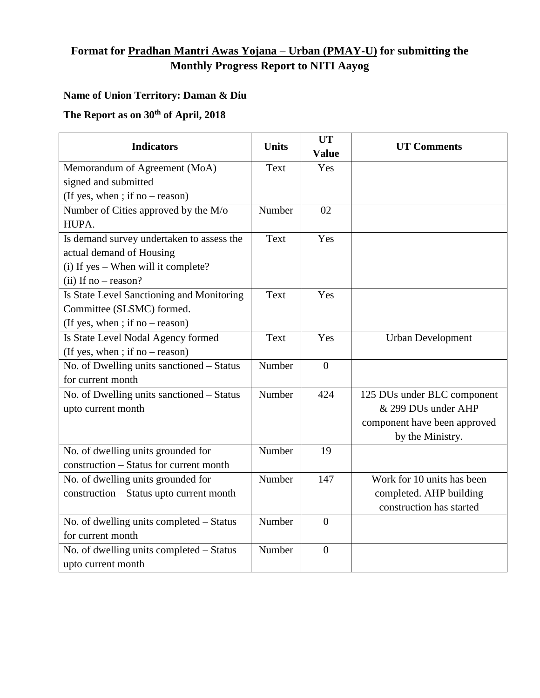## **Format for Pradhan Mantri Awas Yojana – Urban (PMAY-U) for submitting the Monthly Progress Report to NITI Aayog**

## **Name of Union Territory: Daman & Diu**

## **The Report as on 30th of April, 2018**

| <b>Indicators</b>                         | <b>Units</b> | <b>UT</b><br><b>Value</b> | <b>UT Comments</b>           |
|-------------------------------------------|--------------|---------------------------|------------------------------|
| Memorandum of Agreement (MoA)             | Text         | Yes                       |                              |
| signed and submitted                      |              |                           |                              |
| (If yes, when ; if no – reason)           |              |                           |                              |
| Number of Cities approved by the M/o      | Number       | 02                        |                              |
| HUPA.                                     |              |                           |                              |
| Is demand survey undertaken to assess the | Text         | Yes                       |                              |
| actual demand of Housing                  |              |                           |                              |
| (i) If yes - When will it complete?       |              |                           |                              |
| (ii) If no $-$ reason?                    |              |                           |                              |
| Is State Level Sanctioning and Monitoring | Text         | Yes                       |                              |
| Committee (SLSMC) formed.                 |              |                           |                              |
| (If yes, when ; if no – reason)           |              |                           |                              |
| Is State Level Nodal Agency formed        | Text         | Yes                       | <b>Urban Development</b>     |
| (If yes, when ; if no – reason)           |              |                           |                              |
| No. of Dwelling units sanctioned – Status | Number       | $\overline{0}$            |                              |
| for current month                         |              |                           |                              |
| No. of Dwelling units sanctioned - Status | Number       | 424                       | 125 DUs under BLC component  |
| upto current month                        |              |                           | & 299 DUs under AHP          |
|                                           |              |                           | component have been approved |
|                                           |              |                           | by the Ministry.             |
| No. of dwelling units grounded for        | Number       | 19                        |                              |
| construction - Status for current month   |              |                           |                              |
| No. of dwelling units grounded for        | Number       | 147                       | Work for 10 units has been   |
| construction - Status upto current month  |              |                           | completed. AHP building      |
|                                           |              |                           | construction has started     |
| No. of dwelling units completed - Status  | Number       | $\overline{0}$            |                              |
| for current month                         |              |                           |                              |
| No. of dwelling units completed - Status  | Number       | $\overline{0}$            |                              |
| upto current month                        |              |                           |                              |